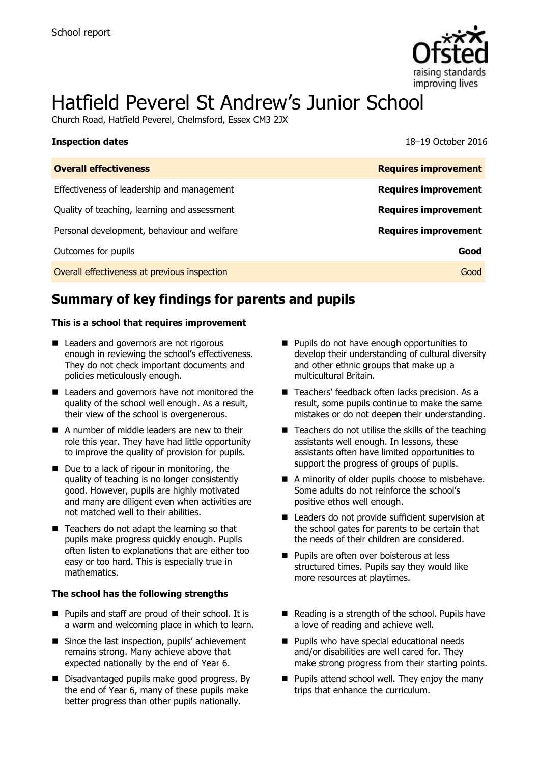

# Hatfield Peverel St Andrew's Junior School

Church Road, Hatfield Peverel, Chelmsford, Essex CM3 2JX

| <b>Inspection dates</b>                      | 18-19 October 2016          |
|----------------------------------------------|-----------------------------|
| <b>Overall effectiveness</b>                 | <b>Requires improvement</b> |
| Effectiveness of leadership and management   | <b>Requires improvement</b> |
| Quality of teaching, learning and assessment | <b>Requires improvement</b> |
| Personal development, behaviour and welfare  | <b>Requires improvement</b> |
| Outcomes for pupils                          | Good                        |
| Overall effectiveness at previous inspection | Good                        |

# **Summary of key findings for parents and pupils**

#### **This is a school that requires improvement**

- **Leaders and governors are not rigorous** enough in reviewing the school's effectiveness. They do not check important documents and policies meticulously enough.
- Leaders and governors have not monitored the quality of the school well enough. As a result, their view of the school is overgenerous.
- A number of middle leaders are new to their role this year. They have had little opportunity to improve the quality of provision for pupils.
- Due to a lack of rigour in monitoring, the quality of teaching is no longer consistently good. However, pupils are highly motivated and many are diligent even when activities are not matched well to their abilities.
- Teachers do not adapt the learning so that pupils make progress quickly enough. Pupils often listen to explanations that are either too easy or too hard. This is especially true in mathematics.

#### **The school has the following strengths**

- Pupils and staff are proud of their school. It is a warm and welcoming place in which to learn.
- Since the last inspection, pupils' achievement remains strong. Many achieve above that expected nationally by the end of Year 6.
- Disadvantaged pupils make good progress. By the end of Year 6, many of these pupils make better progress than other pupils nationally.
- **Pupils do not have enough opportunities to** develop their understanding of cultural diversity and other ethnic groups that make up a multicultural Britain.
- Teachers' feedback often lacks precision. As a result, some pupils continue to make the same mistakes or do not deepen their understanding.
- $\blacksquare$  Teachers do not utilise the skills of the teaching assistants well enough. In lessons, these assistants often have limited opportunities to support the progress of groups of pupils.
- A minority of older pupils choose to misbehave. Some adults do not reinforce the school's positive ethos well enough.
- Leaders do not provide sufficient supervision at the school gates for parents to be certain that the needs of their children are considered.
- **Pupils are often over boisterous at less** structured times. Pupils say they would like more resources at playtimes.
- $\blacksquare$  Reading is a strength of the school. Pupils have a love of reading and achieve well.
- **Pupils who have special educational needs** and/or disabilities are well cared for. They make strong progress from their starting points.
- $\blacksquare$  Pupils attend school well. They enjoy the many trips that enhance the curriculum.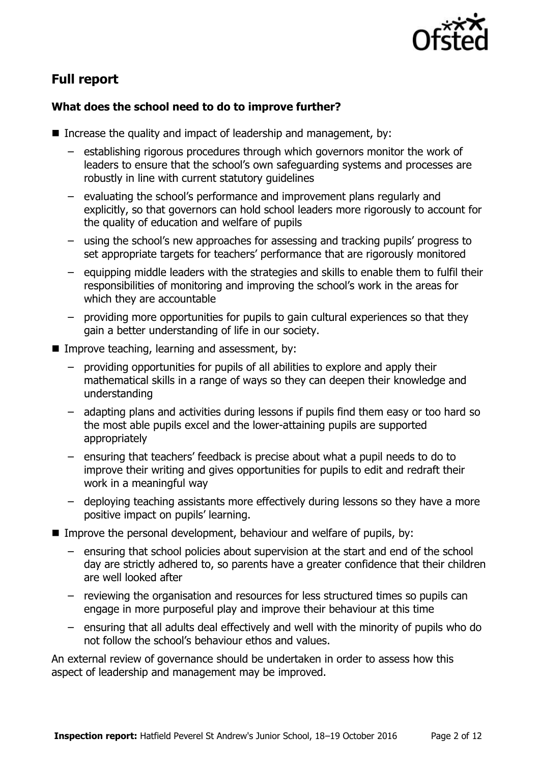

# **Full report**

#### **What does the school need to do to improve further?**

- Increase the quality and impact of leadership and management, by:
	- establishing rigorous procedures through which governors monitor the work of leaders to ensure that the school's own safeguarding systems and processes are robustly in line with current statutory guidelines
	- evaluating the school's performance and improvement plans regularly and explicitly, so that governors can hold school leaders more rigorously to account for the quality of education and welfare of pupils
	- using the school's new approaches for assessing and tracking pupils' progress to set appropriate targets for teachers' performance that are rigorously monitored
	- equipping middle leaders with the strategies and skills to enable them to fulfil their responsibilities of monitoring and improving the school's work in the areas for which they are accountable
	- providing more opportunities for pupils to gain cultural experiences so that they gain a better understanding of life in our society.
- **IMPROVE teaching, learning and assessment, by:** 
	- providing opportunities for pupils of all abilities to explore and apply their mathematical skills in a range of ways so they can deepen their knowledge and understanding
	- adapting plans and activities during lessons if pupils find them easy or too hard so the most able pupils excel and the lower-attaining pupils are supported appropriately
	- ensuring that teachers' feedback is precise about what a pupil needs to do to improve their writing and gives opportunities for pupils to edit and redraft their work in a meaningful way
	- deploying teaching assistants more effectively during lessons so they have a more positive impact on pupils' learning.
- Improve the personal development, behaviour and welfare of pupils, by:
	- ensuring that school policies about supervision at the start and end of the school day are strictly adhered to, so parents have a greater confidence that their children are well looked after
	- reviewing the organisation and resources for less structured times so pupils can engage in more purposeful play and improve their behaviour at this time
	- ensuring that all adults deal effectively and well with the minority of pupils who do not follow the school's behaviour ethos and values.

An external review of governance should be undertaken in order to assess how this aspect of leadership and management may be improved.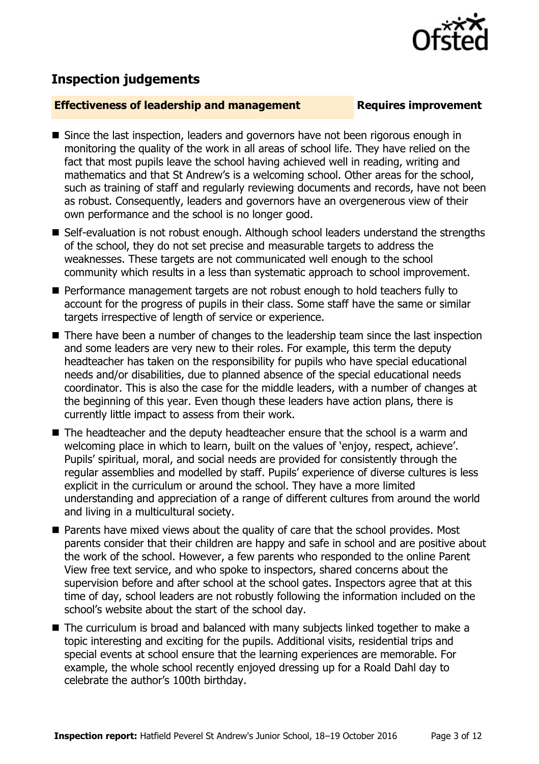

## **Inspection judgements**

#### **Effectiveness of leadership and management Requires improvement**

- Since the last inspection, leaders and governors have not been rigorous enough in monitoring the quality of the work in all areas of school life. They have relied on the fact that most pupils leave the school having achieved well in reading, writing and mathematics and that St Andrew's is a welcoming school. Other areas for the school, such as training of staff and regularly reviewing documents and records, have not been as robust. Consequently, leaders and governors have an overgenerous view of their own performance and the school is no longer good.
- Self-evaluation is not robust enough. Although school leaders understand the strengths of the school, they do not set precise and measurable targets to address the weaknesses. These targets are not communicated well enough to the school community which results in a less than systematic approach to school improvement.
- **Performance management targets are not robust enough to hold teachers fully to** account for the progress of pupils in their class. Some staff have the same or similar targets irrespective of length of service or experience.
- There have been a number of changes to the leadership team since the last inspection and some leaders are very new to their roles. For example, this term the deputy headteacher has taken on the responsibility for pupils who have special educational needs and/or disabilities, due to planned absence of the special educational needs coordinator. This is also the case for the middle leaders, with a number of changes at the beginning of this year. Even though these leaders have action plans, there is currently little impact to assess from their work.
- The headteacher and the deputy headteacher ensure that the school is a warm and welcoming place in which to learn, built on the values of 'enjoy, respect, achieve'. Pupils' spiritual, moral, and social needs are provided for consistently through the regular assemblies and modelled by staff. Pupils' experience of diverse cultures is less explicit in the curriculum or around the school. They have a more limited understanding and appreciation of a range of different cultures from around the world and living in a multicultural society.
- Parents have mixed views about the quality of care that the school provides. Most parents consider that their children are happy and safe in school and are positive about the work of the school. However, a few parents who responded to the online Parent View free text service, and who spoke to inspectors, shared concerns about the supervision before and after school at the school gates. Inspectors agree that at this time of day, school leaders are not robustly following the information included on the school's website about the start of the school day.
- The curriculum is broad and balanced with many subjects linked together to make a topic interesting and exciting for the pupils. Additional visits, residential trips and special events at school ensure that the learning experiences are memorable. For example, the whole school recently enjoyed dressing up for a Roald Dahl day to celebrate the author's 100th birthday.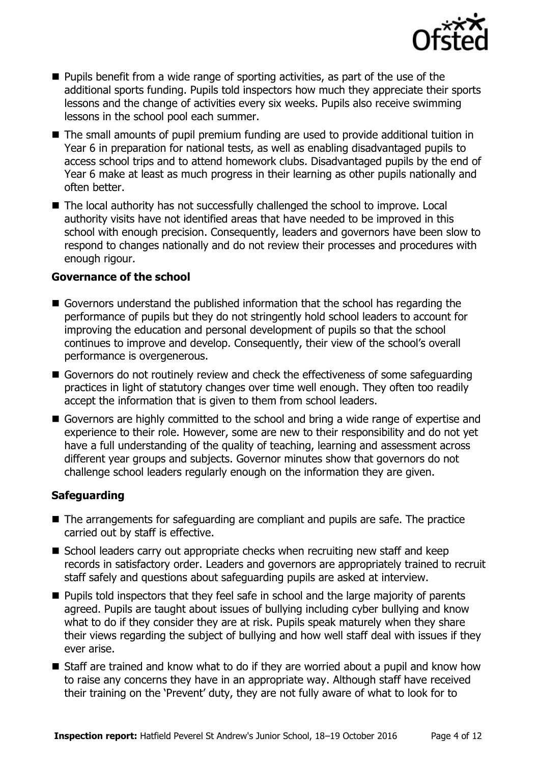

- $\blacksquare$  Pupils benefit from a wide range of sporting activities, as part of the use of the additional sports funding. Pupils told inspectors how much they appreciate their sports lessons and the change of activities every six weeks. Pupils also receive swimming lessons in the school pool each summer.
- The small amounts of pupil premium funding are used to provide additional tuition in Year 6 in preparation for national tests, as well as enabling disadvantaged pupils to access school trips and to attend homework clubs. Disadvantaged pupils by the end of Year 6 make at least as much progress in their learning as other pupils nationally and often better.
- The local authority has not successfully challenged the school to improve. Local authority visits have not identified areas that have needed to be improved in this school with enough precision. Consequently, leaders and governors have been slow to respond to changes nationally and do not review their processes and procedures with enough rigour.

#### **Governance of the school**

- Governors understand the published information that the school has regarding the performance of pupils but they do not stringently hold school leaders to account for improving the education and personal development of pupils so that the school continues to improve and develop. Consequently, their view of the school's overall performance is overgenerous.
- Governors do not routinely review and check the effectiveness of some safeguarding practices in light of statutory changes over time well enough. They often too readily accept the information that is given to them from school leaders.
- Governors are highly committed to the school and bring a wide range of expertise and experience to their role. However, some are new to their responsibility and do not yet have a full understanding of the quality of teaching, learning and assessment across different year groups and subjects. Governor minutes show that governors do not challenge school leaders regularly enough on the information they are given.

### **Safeguarding**

- The arrangements for safeguarding are compliant and pupils are safe. The practice carried out by staff is effective.
- School leaders carry out appropriate checks when recruiting new staff and keep records in satisfactory order. Leaders and governors are appropriately trained to recruit staff safely and questions about safeguarding pupils are asked at interview.
- **Pupils told inspectors that they feel safe in school and the large majority of parents** agreed. Pupils are taught about issues of bullying including cyber bullying and know what to do if they consider they are at risk. Pupils speak maturely when they share their views regarding the subject of bullying and how well staff deal with issues if they ever arise.
- Staff are trained and know what to do if they are worried about a pupil and know how to raise any concerns they have in an appropriate way. Although staff have received their training on the 'Prevent' duty, they are not fully aware of what to look for to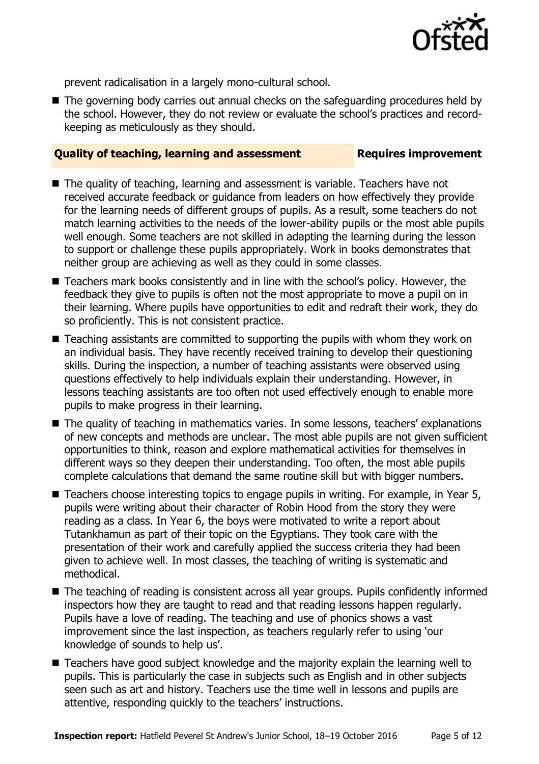

prevent radicalisation in a largely mono-cultural school.

The governing body carries out annual checks on the safeguarding procedures held by the school. However, they do not review or evaluate the school's practices and recordkeeping as meticulously as they should.

#### **Quality of teaching, learning and assessment Requires improvement**

- The quality of teaching, learning and assessment is variable. Teachers have not received accurate feedback or guidance from leaders on how effectively they provide for the learning needs of different groups of pupils. As a result, some teachers do not match learning activities to the needs of the lower-ability pupils or the most able pupils well enough. Some teachers are not skilled in adapting the learning during the lesson to support or challenge these pupils appropriately. Work in books demonstrates that neither group are achieving as well as they could in some classes.
- Teachers mark books consistently and in line with the school's policy. However, the feedback they give to pupils is often not the most appropriate to move a pupil on in their learning. Where pupils have opportunities to edit and redraft their work, they do so proficiently. This is not consistent practice.
- Teaching assistants are committed to supporting the pupils with whom they work on an individual basis. They have recently received training to develop their questioning skills. During the inspection, a number of teaching assistants were observed using questions effectively to help individuals explain their understanding. However, in lessons teaching assistants are too often not used effectively enough to enable more pupils to make progress in their learning.
- The quality of teaching in mathematics varies. In some lessons, teachers' explanations of new concepts and methods are unclear. The most able pupils are not given sufficient opportunities to think, reason and explore mathematical activities for themselves in different ways so they deepen their understanding. Too often, the most able pupils complete calculations that demand the same routine skill but with bigger numbers.
- Teachers choose interesting topics to engage pupils in writing. For example, in Year 5, pupils were writing about their character of Robin Hood from the story they were reading as a class. In Year 6, the boys were motivated to write a report about Tutankhamun as part of their topic on the Egyptians. They took care with the presentation of their work and carefully applied the success criteria they had been given to achieve well. In most classes, the teaching of writing is systematic and methodical.
- The teaching of reading is consistent across all year groups. Pupils confidently informed inspectors how they are taught to read and that reading lessons happen regularly. Pupils have a love of reading. The teaching and use of phonics shows a vast improvement since the last inspection, as teachers regularly refer to using 'our knowledge of sounds to help us'.
- Teachers have good subject knowledge and the majority explain the learning well to pupils. This is particularly the case in subjects such as English and in other subjects seen such as art and history. Teachers use the time well in lessons and pupils are attentive, responding quickly to the teachers' instructions.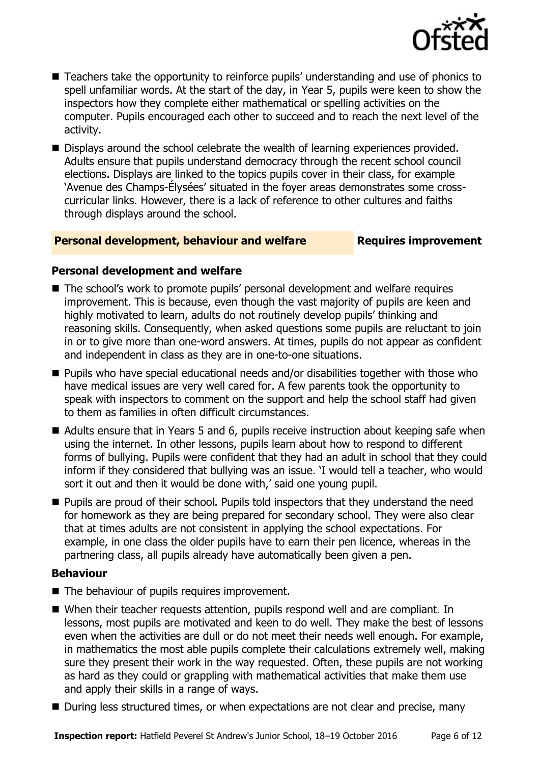

- Teachers take the opportunity to reinforce pupils' understanding and use of phonics to spell unfamiliar words. At the start of the day, in Year 5, pupils were keen to show the inspectors how they complete either mathematical or spelling activities on the computer. Pupils encouraged each other to succeed and to reach the next level of the activity.
- Displays around the school celebrate the wealth of learning experiences provided. Adults ensure that pupils understand democracy through the recent school council elections. Displays are linked to the topics pupils cover in their class, for example 'Avenue des Champs-Élysées' situated in the foyer areas demonstrates some crosscurricular links. However, there is a lack of reference to other cultures and faiths through displays around the school.

#### **Personal development, behaviour and welfare Fig. 2. Requires improvement**

### **Personal development and welfare**

- The school's work to promote pupils' personal development and welfare requires improvement. This is because, even though the vast majority of pupils are keen and highly motivated to learn, adults do not routinely develop pupils' thinking and reasoning skills. Consequently, when asked questions some pupils are reluctant to join in or to give more than one-word answers. At times, pupils do not appear as confident and independent in class as they are in one-to-one situations.
- Pupils who have special educational needs and/or disabilities together with those who have medical issues are very well cared for. A few parents took the opportunity to speak with inspectors to comment on the support and help the school staff had given to them as families in often difficult circumstances.
- Adults ensure that in Years 5 and 6, pupils receive instruction about keeping safe when using the internet. In other lessons, pupils learn about how to respond to different forms of bullying. Pupils were confident that they had an adult in school that they could inform if they considered that bullying was an issue. 'I would tell a teacher, who would sort it out and then it would be done with,' said one young pupil.
- **Pupils are proud of their school. Pupils told inspectors that they understand the need** for homework as they are being prepared for secondary school. They were also clear that at times adults are not consistent in applying the school expectations. For example, in one class the older pupils have to earn their pen licence, whereas in the partnering class, all pupils already have automatically been given a pen.

### **Behaviour**

- The behaviour of pupils requires improvement.
- When their teacher requests attention, pupils respond well and are compliant. In lessons, most pupils are motivated and keen to do well. They make the best of lessons even when the activities are dull or do not meet their needs well enough. For example, in mathematics the most able pupils complete their calculations extremely well, making sure they present their work in the way requested. Often, these pupils are not working as hard as they could or grappling with mathematical activities that make them use and apply their skills in a range of ways.
- During less structured times, or when expectations are not clear and precise, many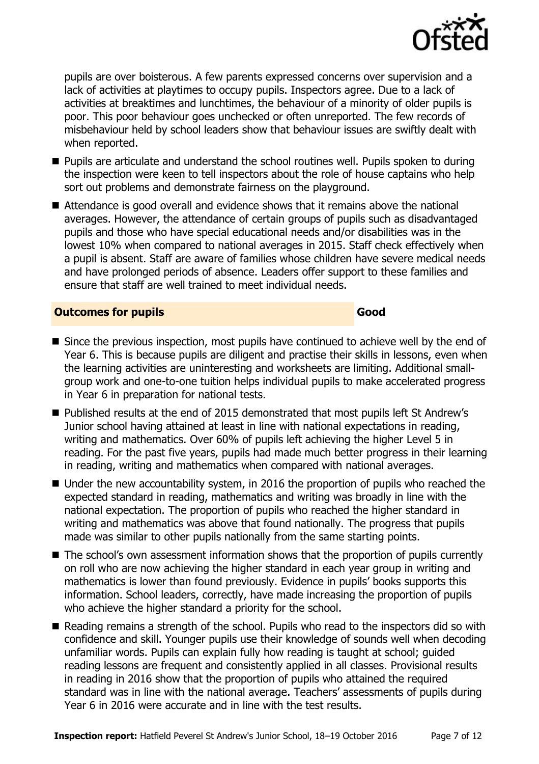

pupils are over boisterous. A few parents expressed concerns over supervision and a lack of activities at playtimes to occupy pupils. Inspectors agree. Due to a lack of activities at breaktimes and lunchtimes, the behaviour of a minority of older pupils is poor. This poor behaviour goes unchecked or often unreported. The few records of misbehaviour held by school leaders show that behaviour issues are swiftly dealt with when reported.

- **Pupils are articulate and understand the school routines well. Pupils spoken to during** the inspection were keen to tell inspectors about the role of house captains who help sort out problems and demonstrate fairness on the playground.
- Attendance is good overall and evidence shows that it remains above the national averages. However, the attendance of certain groups of pupils such as disadvantaged pupils and those who have special educational needs and/or disabilities was in the lowest 10% when compared to national averages in 2015. Staff check effectively when a pupil is absent. Staff are aware of families whose children have severe medical needs and have prolonged periods of absence. Leaders offer support to these families and ensure that staff are well trained to meet individual needs.

#### **Outcomes for pupils Good**

- Since the previous inspection, most pupils have continued to achieve well by the end of Year 6. This is because pupils are diligent and practise their skills in lessons, even when the learning activities are uninteresting and worksheets are limiting. Additional smallgroup work and one-to-one tuition helps individual pupils to make accelerated progress in Year 6 in preparation for national tests.
- Published results at the end of 2015 demonstrated that most pupils left St Andrew's Junior school having attained at least in line with national expectations in reading, writing and mathematics. Over 60% of pupils left achieving the higher Level 5 in reading. For the past five years, pupils had made much better progress in their learning in reading, writing and mathematics when compared with national averages.
- Under the new accountability system, in 2016 the proportion of pupils who reached the expected standard in reading, mathematics and writing was broadly in line with the national expectation. The proportion of pupils who reached the higher standard in writing and mathematics was above that found nationally. The progress that pupils made was similar to other pupils nationally from the same starting points.
- The school's own assessment information shows that the proportion of pupils currently on roll who are now achieving the higher standard in each year group in writing and mathematics is lower than found previously. Evidence in pupils' books supports this information. School leaders, correctly, have made increasing the proportion of pupils who achieve the higher standard a priority for the school.
- Reading remains a strength of the school. Pupils who read to the inspectors did so with confidence and skill. Younger pupils use their knowledge of sounds well when decoding unfamiliar words. Pupils can explain fully how reading is taught at school; guided reading lessons are frequent and consistently applied in all classes. Provisional results in reading in 2016 show that the proportion of pupils who attained the required standard was in line with the national average. Teachers' assessments of pupils during Year 6 in 2016 were accurate and in line with the test results.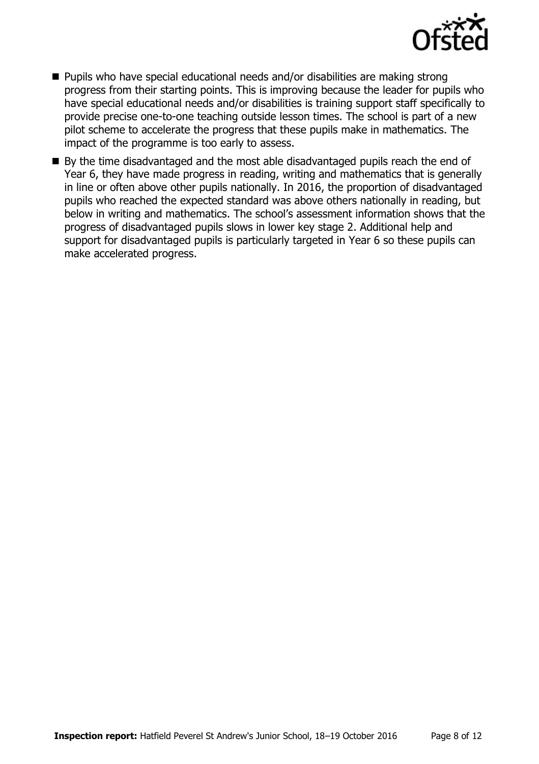

- Pupils who have special educational needs and/or disabilities are making strong progress from their starting points. This is improving because the leader for pupils who have special educational needs and/or disabilities is training support staff specifically to provide precise one-to-one teaching outside lesson times. The school is part of a new pilot scheme to accelerate the progress that these pupils make in mathematics. The impact of the programme is too early to assess.
- By the time disadvantaged and the most able disadvantaged pupils reach the end of Year 6, they have made progress in reading, writing and mathematics that is generally in line or often above other pupils nationally. In 2016, the proportion of disadvantaged pupils who reached the expected standard was above others nationally in reading, but below in writing and mathematics. The school's assessment information shows that the progress of disadvantaged pupils slows in lower key stage 2. Additional help and support for disadvantaged pupils is particularly targeted in Year 6 so these pupils can make accelerated progress.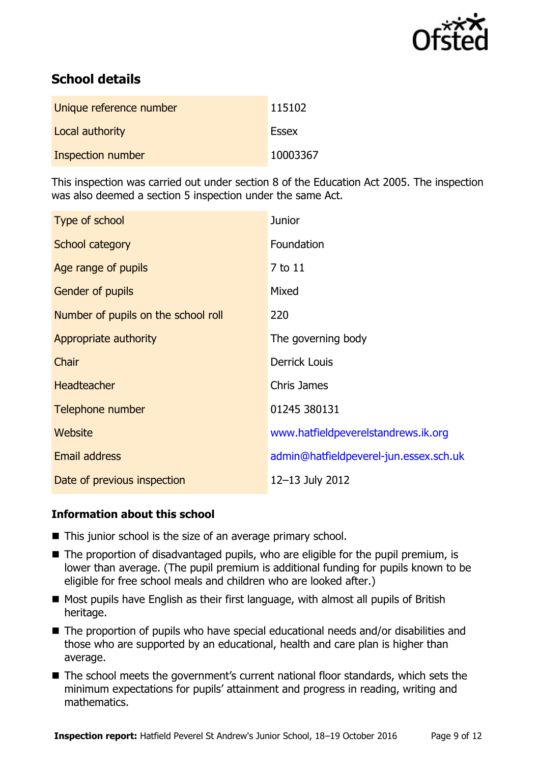

# **School details**

| Unique reference number  | 115102       |
|--------------------------|--------------|
| Local authority          | <b>Essex</b> |
| <b>Inspection number</b> | 10003367     |

This inspection was carried out under section 8 of the Education Act 2005. The inspection was also deemed a section 5 inspection under the same Act.

| Type of school                      | <b>Junior</b>                          |
|-------------------------------------|----------------------------------------|
| School category                     | Foundation                             |
| Age range of pupils                 | 7 to 11                                |
| Gender of pupils                    | Mixed                                  |
| Number of pupils on the school roll | 220                                    |
| Appropriate authority               | The governing body                     |
| Chair                               | <b>Derrick Louis</b>                   |
| <b>Headteacher</b>                  | <b>Chris James</b>                     |
| Telephone number                    | 01245 380131                           |
| <b>Website</b>                      | www.hatfieldpeverelstandrews.ik.org    |
| Email address                       | admin@hatfieldpeverel-jun.essex.sch.uk |
| Date of previous inspection         | 12-13 July 2012                        |

#### **Information about this school**

- This junior school is the size of an average primary school.
- The proportion of disadvantaged pupils, who are eligible for the pupil premium, is lower than average. (The pupil premium is additional funding for pupils known to be eligible for free school meals and children who are looked after.)
- $\blacksquare$  Most pupils have English as their first language, with almost all pupils of British heritage.
- The proportion of pupils who have special educational needs and/or disabilities and those who are supported by an educational, health and care plan is higher than average.
- The school meets the government's current national floor standards, which sets the minimum expectations for pupils' attainment and progress in reading, writing and mathematics.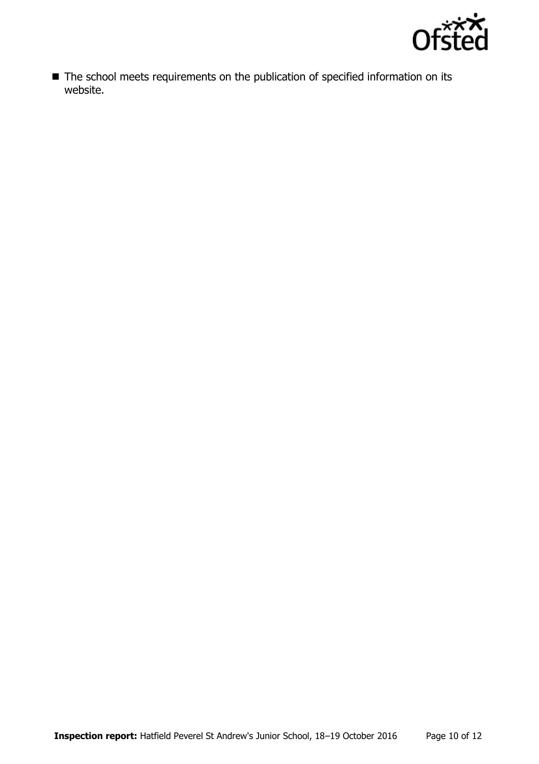

■ The school meets requirements on the publication of specified information on its website.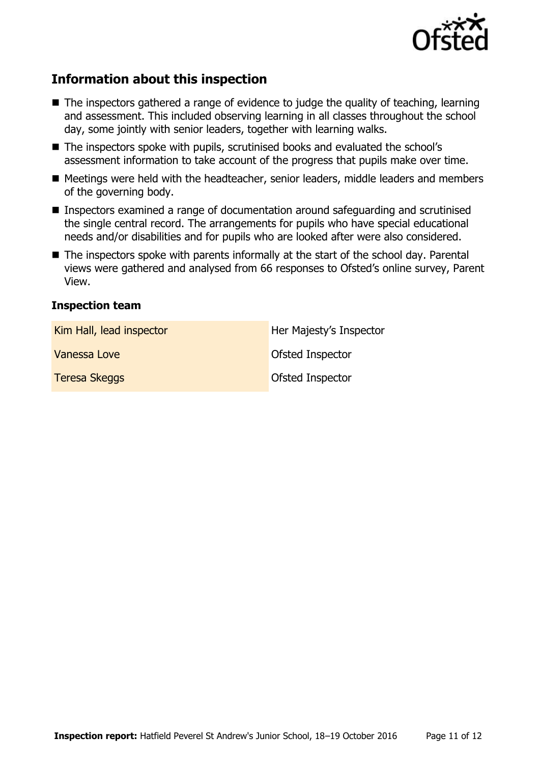

# **Information about this inspection**

- The inspectors gathered a range of evidence to judge the quality of teaching, learning and assessment. This included observing learning in all classes throughout the school dav, some jointly with senior leaders, together with learning walks.
- The inspectors spoke with pupils, scrutinised books and evaluated the school's assessment information to take account of the progress that pupils make over time.
- Meetings were held with the headteacher, senior leaders, middle leaders and members of the governing body.
- Inspectors examined a range of documentation around safeguarding and scrutinised the single central record. The arrangements for pupils who have special educational needs and/or disabilities and for pupils who are looked after were also considered.
- The inspectors spoke with parents informally at the start of the school day. Parental views were gathered and analysed from 66 responses to Ofsted's online survey, Parent View.

#### **Inspection team**

| Kim Hall, lead inspector | Her Majesty's Inspector |
|--------------------------|-------------------------|
| Vanessa Love             | <b>Ofsted Inspector</b> |
| <b>Teresa Skeggs</b>     | Ofsted Inspector        |